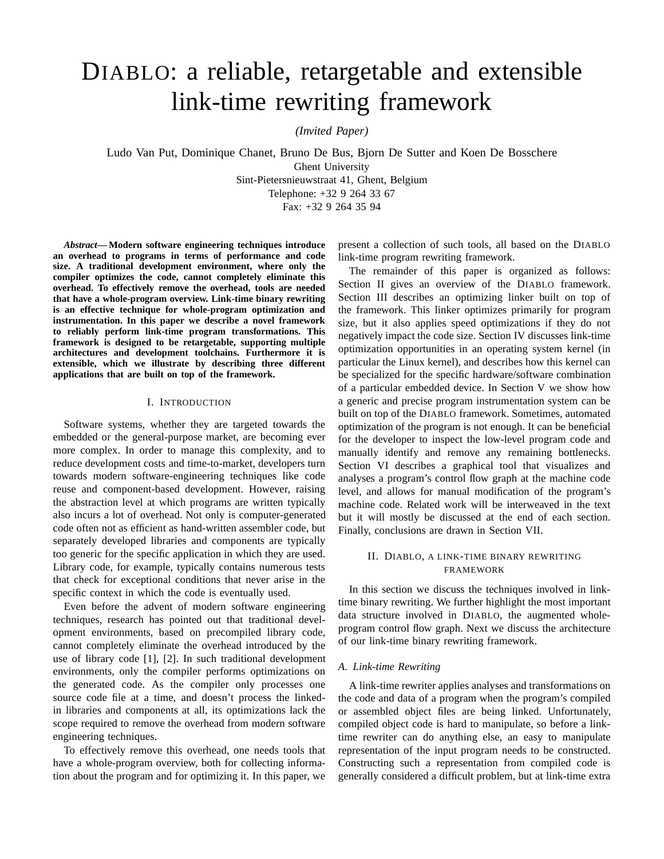# DIABLO: a reliable, retargetable and extensible link-time rewriting framework

*(Invited Paper)*

Ludo Van Put, Dominique Chanet, Bruno De Bus, Bjorn De Sutter and Koen De Bosschere Ghent University Sint-Pietersnieuwstraat 41, Ghent, Belgium Telephone: +32 9 264 33 67 Fax: +32 9 264 35 94

*Abstract***— Modern software engineering techniques introduce an overhead to programs in terms of performance and code size. A traditional development environment, where only the compiler optimizes the code, cannot completely eliminate this overhead. To effectively remove the overhead, tools are needed that have a whole-program overview. Link-time binary rewriting is an effective technique for whole-program optimization and instrumentation. In this paper we describe a novel framework to reliably perform link-time program transformations. This framework is designed to be retargetable, supporting multiple architectures and development toolchains. Furthermore it is extensible, which we illustrate by describing three different applications that are built on top of the framework.**

### I. INTRODUCTION

Software systems, whether they are targeted towards the embedded or the general-purpose market, are becoming ever more complex. In order to manage this complexity, and to reduce development costs and time-to-market, developers turn towards modern software-engineering techniques like code reuse and component-based development. However, raising the abstraction level at which programs are written typically also incurs a lot of overhead. Not only is computer-generated code often not as efficient as hand-written assembler code, but separately developed libraries and components are typically too generic for the specific application in which they are used. Library code, for example, typically contains numerous tests that check for exceptional conditions that never arise in the specific context in which the code is eventually used.

Even before the advent of modern software engineering techniques, research has pointed out that traditional development environments, based on precompiled library code, cannot completely eliminate the overhead introduced by the use of library code [1], [2]. In such traditional development environments, only the compiler performs optimizations on the generated code. As the compiler only processes one source code file at a time, and doesn't process the linkedin libraries and components at all, its optimizations lack the scope required to remove the overhead from modern software engineering techniques.

To effectively remove this overhead, one needs tools that have a whole-program overview, both for collecting information about the program and for optimizing it. In this paper, we

present a collection of such tools, all based on the DIABLO link-time program rewriting framework.

The remainder of this paper is organized as follows: Section II gives an overview of the DIABLO framework. Section III describes an optimizing linker built on top of the framework. This linker optimizes primarily for program size, but it also applies speed optimizations if they do not negatively impact the code size. Section IV discusses link-time optimization opportunities in an operating system kernel (in particular the Linux kernel), and describes how this kernel can be specialized for the specific hardware/software combination of a particular embedded device. In Section V we show how a generic and precise program instrumentation system can be built on top of the DIABLO framework. Sometimes, automated optimization of the program is not enough. It can be beneficial for the developer to inspect the low-level program code and manually identify and remove any remaining bottlenecks. Section VI describes a graphical tool that visualizes and analyses a program's control flow graph at the machine code level, and allows for manual modification of the program's machine code. Related work will be interweaved in the text but it will mostly be discussed at the end of each section. Finally, conclusions are drawn in Section VII.

# II. DIABLO, A LINK-TIME BINARY REWRITING FRAMEWORK

In this section we discuss the techniques involved in linktime binary rewriting. We further highlight the most important data structure involved in DIABLO, the augmented wholeprogram control flow graph. Next we discuss the architecture of our link-time binary rewriting framework.

# *A. Link-time Rewriting*

A link-time rewriter applies analyses and transformations on the code and data of a program when the program's compiled or assembled object files are being linked. Unfortunately, compiled object code is hard to manipulate, so before a linktime rewriter can do anything else, an easy to manipulate representation of the input program needs to be constructed. Constructing such a representation from compiled code is generally considered a difficult problem, but at link-time extra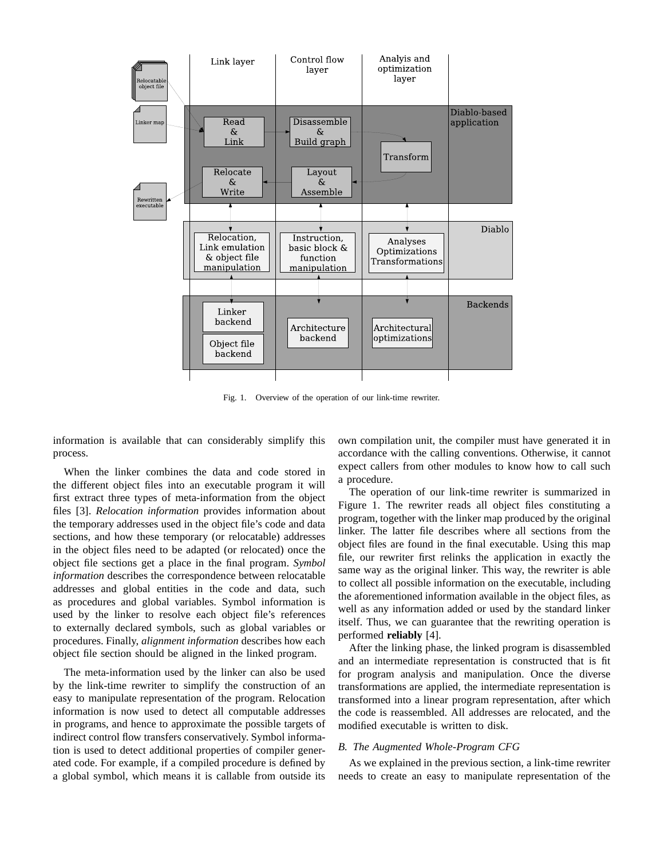

Fig. 1. Overview of the operation of our link-time rewriter.

information is available that can considerably simplify this process.

When the linker combines the data and code stored in the different object files into an executable program it will first extract three types of meta-information from the object files [3]. *Relocation information* provides information about the temporary addresses used in the object file's code and data sections, and how these temporary (or relocatable) addresses in the object files need to be adapted (or relocated) once the object file sections get a place in the final program. *Symbol information* describes the correspondence between relocatable addresses and global entities in the code and data, such as procedures and global variables. Symbol information is used by the linker to resolve each object file's references to externally declared symbols, such as global variables or procedures. Finally, *alignment information* describes how each object file section should be aligned in the linked program.

The meta-information used by the linker can also be used by the link-time rewriter to simplify the construction of an easy to manipulate representation of the program. Relocation information is now used to detect all computable addresses in programs, and hence to approximate the possible targets of indirect control flow transfers conservatively. Symbol information is used to detect additional properties of compiler generated code. For example, if a compiled procedure is defined by a global symbol, which means it is callable from outside its

own compilation unit, the compiler must have generated it in accordance with the calling conventions. Otherwise, it cannot expect callers from other modules to know how to call such a procedure.

The operation of our link-time rewriter is summarized in Figure 1. The rewriter reads all object files constituting a program, together with the linker map produced by the original linker. The latter file describes where all sections from the object files are found in the final executable. Using this map file, our rewriter first relinks the application in exactly the same way as the original linker. This way, the rewriter is able to collect all possible information on the executable, including the aforementioned information available in the object files, as well as any information added or used by the standard linker itself. Thus, we can guarantee that the rewriting operation is performed **reliably** [4].

After the linking phase, the linked program is disassembled and an intermediate representation is constructed that is fit for program analysis and manipulation. Once the diverse transformations are applied, the intermediate representation is transformed into a linear program representation, after which the code is reassembled. All addresses are relocated, and the modified executable is written to disk.

# *B. The Augmented Whole-Program CFG*

As we explained in the previous section, a link-time rewriter needs to create an easy to manipulate representation of the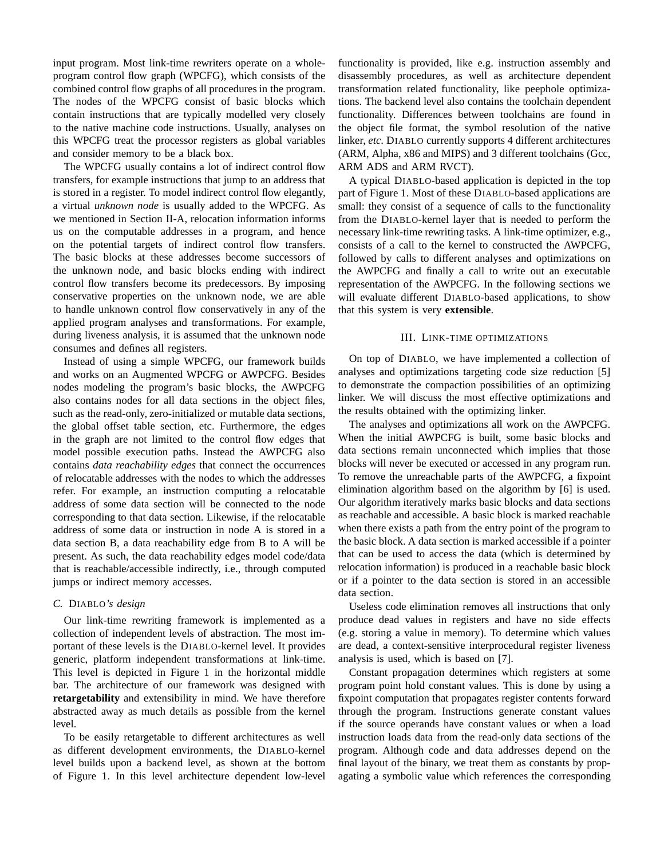input program. Most link-time rewriters operate on a wholeprogram control flow graph (WPCFG), which consists of the combined control flow graphs of all procedures in the program. The nodes of the WPCFG consist of basic blocks which contain instructions that are typically modelled very closely to the native machine code instructions. Usually, analyses on this WPCFG treat the processor registers as global variables and consider memory to be a black box.

The WPCFG usually contains a lot of indirect control flow transfers, for example instructions that jump to an address that is stored in a register. To model indirect control flow elegantly, a virtual *unknown node* is usually added to the WPCFG. As we mentioned in Section II-A, relocation information informs us on the computable addresses in a program, and hence on the potential targets of indirect control flow transfers. The basic blocks at these addresses become successors of the unknown node, and basic blocks ending with indirect control flow transfers become its predecessors. By imposing conservative properties on the unknown node, we are able to handle unknown control flow conservatively in any of the applied program analyses and transformations. For example, during liveness analysis, it is assumed that the unknown node consumes and defines all registers.

Instead of using a simple WPCFG, our framework builds and works on an Augmented WPCFG or AWPCFG. Besides nodes modeling the program's basic blocks, the AWPCFG also contains nodes for all data sections in the object files, such as the read-only, zero-initialized or mutable data sections, the global offset table section, etc. Furthermore, the edges in the graph are not limited to the control flow edges that model possible execution paths. Instead the AWPCFG also contains *data reachability edges* that connect the occurrences of relocatable addresses with the nodes to which the addresses refer. For example, an instruction computing a relocatable address of some data section will be connected to the node corresponding to that data section. Likewise, if the relocatable address of some data or instruction in node A is stored in a data section B, a data reachability edge from B to A will be present. As such, the data reachability edges model code/data that is reachable/accessible indirectly, i.e., through computed jumps or indirect memory accesses.

# *C.* DIABLO*'s design*

Our link-time rewriting framework is implemented as a collection of independent levels of abstraction. The most important of these levels is the DIABLO-kernel level. It provides generic, platform independent transformations at link-time. This level is depicted in Figure 1 in the horizontal middle bar. The architecture of our framework was designed with **retargetability** and extensibility in mind. We have therefore abstracted away as much details as possible from the kernel level.

To be easily retargetable to different architectures as well as different development environments, the DIABLO-kernel level builds upon a backend level, as shown at the bottom of Figure 1. In this level architecture dependent low-level functionality is provided, like e.g. instruction assembly and disassembly procedures, as well as architecture dependent transformation related functionality, like peephole optimizations. The backend level also contains the toolchain dependent functionality. Differences between toolchains are found in the object file format, the symbol resolution of the native linker, *etc*. DIABLO currently supports 4 different architectures (ARM, Alpha, x86 and MIPS) and 3 different toolchains (Gcc, ARM ADS and ARM RVCT).

A typical DIABLO-based application is depicted in the top part of Figure 1. Most of these DIABLO-based applications are small: they consist of a sequence of calls to the functionality from the DIABLO-kernel layer that is needed to perform the necessary link-time rewriting tasks. A link-time optimizer, e.g., consists of a call to the kernel to constructed the AWPCFG, followed by calls to different analyses and optimizations on the AWPCFG and finally a call to write out an executable representation of the AWPCFG. In the following sections we will evaluate different DIABLO-based applications, to show that this system is very **extensible**.

#### III. LINK-TIME OPTIMIZATIONS

On top of DIABLO, we have implemented a collection of analyses and optimizations targeting code size reduction [5] to demonstrate the compaction possibilities of an optimizing linker. We will discuss the most effective optimizations and the results obtained with the optimizing linker.

The analyses and optimizations all work on the AWPCFG. When the initial AWPCFG is built, some basic blocks and data sections remain unconnected which implies that those blocks will never be executed or accessed in any program run. To remove the unreachable parts of the AWPCFG, a fixpoint elimination algorithm based on the algorithm by [6] is used. Our algorithm iteratively marks basic blocks and data sections as reachable and accessible. A basic block is marked reachable when there exists a path from the entry point of the program to the basic block. A data section is marked accessible if a pointer that can be used to access the data (which is determined by relocation information) is produced in a reachable basic block or if a pointer to the data section is stored in an accessible data section.

Useless code elimination removes all instructions that only produce dead values in registers and have no side effects (e.g. storing a value in memory). To determine which values are dead, a context-sensitive interprocedural register liveness analysis is used, which is based on [7].

Constant propagation determines which registers at some program point hold constant values. This is done by using a fixpoint computation that propagates register contents forward through the program. Instructions generate constant values if the source operands have constant values or when a load instruction loads data from the read-only data sections of the program. Although code and data addresses depend on the final layout of the binary, we treat them as constants by propagating a symbolic value which references the corresponding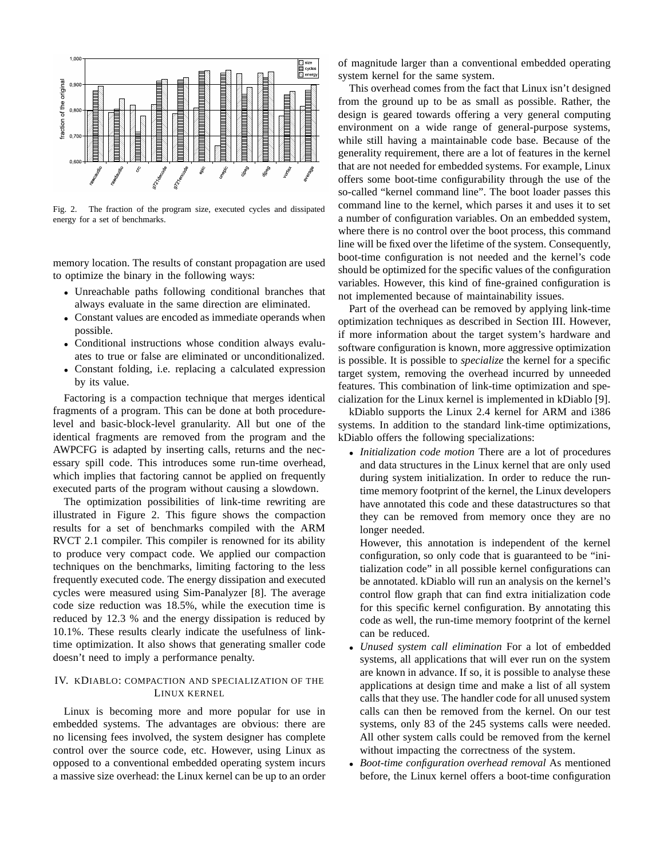

Fig. 2. The fraction of the program size, executed cycles and dissipated energy for a set of benchmarks.

memory location. The results of constant propagation are used to optimize the binary in the following ways:

- Unreachable paths following conditional branches that always evaluate in the same direction are eliminated.
- Constant values are encoded as immediate operands when possible.
- Conditional instructions whose condition always evaluates to true or false are eliminated or unconditionalized.
- Constant folding, i.e. replacing a calculated expression by its value.

Factoring is a compaction technique that merges identical fragments of a program. This can be done at both procedurelevel and basic-block-level granularity. All but one of the identical fragments are removed from the program and the AWPCFG is adapted by inserting calls, returns and the necessary spill code. This introduces some run-time overhead, which implies that factoring cannot be applied on frequently executed parts of the program without causing a slowdown.

The optimization possibilities of link-time rewriting are illustrated in Figure 2. This figure shows the compaction results for a set of benchmarks compiled with the ARM RVCT 2.1 compiler. This compiler is renowned for its ability to produce very compact code. We applied our compaction techniques on the benchmarks, limiting factoring to the less frequently executed code. The energy dissipation and executed cycles were measured using Sim-Panalyzer [8]. The average code size reduction was 18.5%, while the execution time is reduced by 12.3 % and the energy dissipation is reduced by 10.1%. These results clearly indicate the usefulness of linktime optimization. It also shows that generating smaller code doesn't need to imply a performance penalty.

# IV. KDIABLO: COMPACTION AND SPECIALIZATION OF THE LINUX KERNEL

Linux is becoming more and more popular for use in embedded systems. The advantages are obvious: there are no licensing fees involved, the system designer has complete control over the source code, etc. However, using Linux as opposed to a conventional embedded operating system incurs a massive size overhead: the Linux kernel can be up to an order

of magnitude larger than a conventional embedded operating system kernel for the same system.

This overhead comes from the fact that Linux isn't designed from the ground up to be as small as possible. Rather, the design is geared towards offering a very general computing environment on a wide range of general-purpose systems, while still having a maintainable code base. Because of the generality requirement, there are a lot of features in the kernel that are not needed for embedded systems. For example, Linux offers some boot-time configurability through the use of the so-called "kernel command line". The boot loader passes this command line to the kernel, which parses it and uses it to set a number of configuration variables. On an embedded system, where there is no control over the boot process, this command line will be fixed over the lifetime of the system. Consequently, boot-time configuration is not needed and the kernel's code should be optimized for the specific values of the configuration variables. However, this kind of fine-grained configuration is not implemented because of maintainability issues.

Part of the overhead can be removed by applying link-time optimization techniques as described in Section III. However, if more information about the target system's hardware and software configuration is known, more aggressive optimization is possible. It is possible to *specialize* the kernel for a specific target system, removing the overhead incurred by unneeded features. This combination of link-time optimization and specialization for the Linux kernel is implemented in kDiablo [9].

kDiablo supports the Linux 2.4 kernel for ARM and i386 systems. In addition to the standard link-time optimizations, kDiablo offers the following specializations:

• *Initialization code motion* There are a lot of procedures and data structures in the Linux kernel that are only used during system initialization. In order to reduce the runtime memory footprint of the kernel, the Linux developers have annotated this code and these datastructures so that they can be removed from memory once they are no longer needed.

However, this annotation is independent of the kernel configuration, so only code that is guaranteed to be "initialization code" in all possible kernel configurations can be annotated. kDiablo will run an analysis on the kernel's control flow graph that can find extra initialization code for this specific kernel configuration. By annotating this code as well, the run-time memory footprint of the kernel can be reduced.

- *Unused system call elimination* For a lot of embedded systems, all applications that will ever run on the system are known in advance. If so, it is possible to analyse these applications at design time and make a list of all system calls that they use. The handler code for all unused system calls can then be removed from the kernel. On our test systems, only 83 of the 245 systems calls were needed. All other system calls could be removed from the kernel without impacting the correctness of the system.
- *Boot-time configuration overhead removal* As mentioned before, the Linux kernel offers a boot-time configuration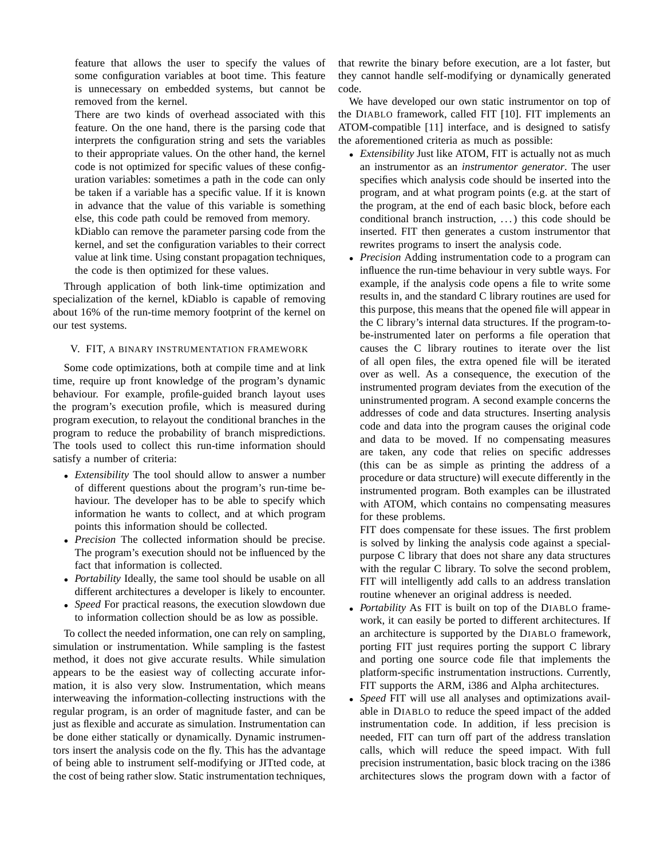feature that allows the user to specify the values of some configuration variables at boot time. This feature is unnecessary on embedded systems, but cannot be removed from the kernel.

There are two kinds of overhead associated with this feature. On the one hand, there is the parsing code that interprets the configuration string and sets the variables to their appropriate values. On the other hand, the kernel code is not optimized for specific values of these configuration variables: sometimes a path in the code can only be taken if a variable has a specific value. If it is known in advance that the value of this variable is something else, this code path could be removed from memory.

kDiablo can remove the parameter parsing code from the kernel, and set the configuration variables to their correct value at link time. Using constant propagation techniques, the code is then optimized for these values.

Through application of both link-time optimization and specialization of the kernel, kDiablo is capable of removing about 16% of the run-time memory footprint of the kernel on our test systems.

# V. FIT, A BINARY INSTRUMENTATION FRAMEWORK

Some code optimizations, both at compile time and at link time, require up front knowledge of the program's dynamic behaviour. For example, profile-guided branch layout uses the program's execution profile, which is measured during program execution, to relayout the conditional branches in the program to reduce the probability of branch mispredictions. The tools used to collect this run-time information should satisfy a number of criteria:

- *Extensibility* The tool should allow to answer a number of different questions about the program's run-time behaviour. The developer has to be able to specify which information he wants to collect, and at which program points this information should be collected.
- *Precision* The collected information should be precise. The program's execution should not be influenced by the fact that information is collected.
- *Portability* Ideally, the same tool should be usable on all different architectures a developer is likely to encounter.
- *Speed* For practical reasons, the execution slowdown due to information collection should be as low as possible.

To collect the needed information, one can rely on sampling, simulation or instrumentation. While sampling is the fastest method, it does not give accurate results. While simulation appears to be the easiest way of collecting accurate information, it is also very slow. Instrumentation, which means interweaving the information-collecting instructions with the regular program, is an order of magnitude faster, and can be just as flexible and accurate as simulation. Instrumentation can be done either statically or dynamically. Dynamic instrumentors insert the analysis code on the fly. This has the advantage of being able to instrument self-modifying or JITted code, at the cost of being rather slow. Static instrumentation techniques,

that rewrite the binary before execution, are a lot faster, but they cannot handle self-modifying or dynamically generated code.

We have developed our own static instrumentor on top of the DIABLO framework, called FIT [10]. FIT implements an ATOM-compatible [11] interface, and is designed to satisfy the aforementioned criteria as much as possible:

- *Extensibility* Just like ATOM, FIT is actually not as much an instrumentor as an *instrumentor generator*. The user specifies which analysis code should be inserted into the program, and at what program points (e.g. at the start of the program, at the end of each basic block, before each conditional branch instruction, . . . ) this code should be inserted. FIT then generates a custom instrumentor that rewrites programs to insert the analysis code.
- *Precision* Adding instrumentation code to a program can influence the run-time behaviour in very subtle ways. For example, if the analysis code opens a file to write some results in, and the standard C library routines are used for this purpose, this means that the opened file will appear in the C library's internal data structures. If the program-tobe-instrumented later on performs a file operation that causes the C library routines to iterate over the list of all open files, the extra opened file will be iterated over as well. As a consequence, the execution of the instrumented program deviates from the execution of the uninstrumented program. A second example concerns the addresses of code and data structures. Inserting analysis code and data into the program causes the original code and data to be moved. If no compensating measures are taken, any code that relies on specific addresses (this can be as simple as printing the address of a procedure or data structure) will execute differently in the instrumented program. Both examples can be illustrated with ATOM, which contains no compensating measures for these problems.

FIT does compensate for these issues. The first problem is solved by linking the analysis code against a specialpurpose C library that does not share any data structures with the regular C library. To solve the second problem, FIT will intelligently add calls to an address translation routine whenever an original address is needed.

- *Portability* As FIT is built on top of the DIABLO framework, it can easily be ported to different architectures. If an architecture is supported by the DIABLO framework, porting FIT just requires porting the support C library and porting one source code file that implements the platform-specific instrumentation instructions. Currently, FIT supports the ARM, i386 and Alpha architectures.
- *Speed* FIT will use all analyses and optimizations available in DIABLO to reduce the speed impact of the added instrumentation code. In addition, if less precision is needed, FIT can turn off part of the address translation calls, which will reduce the speed impact. With full precision instrumentation, basic block tracing on the i386 architectures slows the program down with a factor of